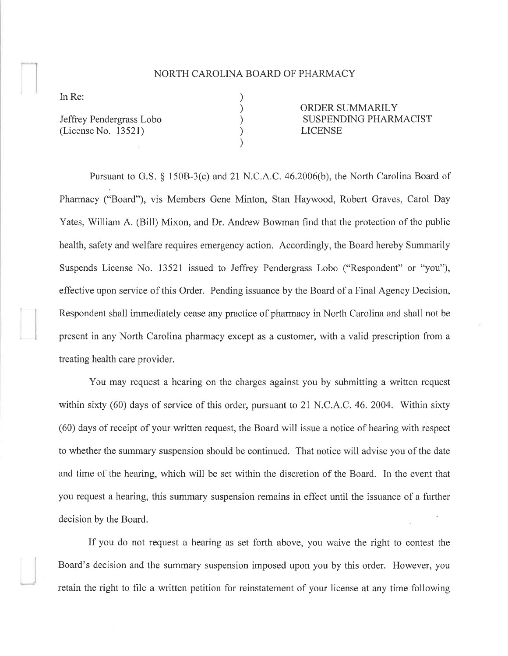## NORTH CAROLINA BOARD OF PHARMACY

) ) ) ) )

In Re:

Jeffrey Pendergrass Lobo (License No. 13521)

ORDER SUMMARILY SUSPENDING PHARMACIST LICENSE

Pursuant to G.S. \$ 1508-3(c) and 2l N.C.A.C. 46.2006(b), the North Carolina Board of Pharmacy ("Board"), vis Members Gene Minton, Stan Haywood, Robert Graves, Carol Day Yates, William A. (Bill) Mixon, and Dr. Andrew Bowman find that the protection of the public health, safety and welfare requires emergency action. Accordingly, the Board hereby Summarily Suspends License No. 13521 issued to Jeffrey Pendergrass Lobo ("Respondent" or "you"), effective upon service of this Order. Pending issuance by the Board of a Final Agency Decision, Respondent shall immediately cease any practice of pharmacy in North Carolina and shall not be present in any North Carolina pharmacy except as a customer, with a valid prescription from a treating health care provider.

You may request a hearing on the charges against you by submitting a written request within sixty (60) days of service of this order, pursuant to 21 N.C.A.C. 46. 2004. Within sixty (60) days of receipt of your written request, the Board will issue a notice of hearing with respect to whether the summary suspension should be continued. That notice will advise you of the date and time of the hearing, which will be set within the discretion of the Board. In the event that you request a hearing, this summary suspension remains in effect until the issuance of a further decision by the Board.

If you do not request a hearing as set forth above, you waive the right to contest the Board's decision and the summary suspension imposed upon you by this order. However, you retain the right to file a written petition for reinstatement of your license at any time following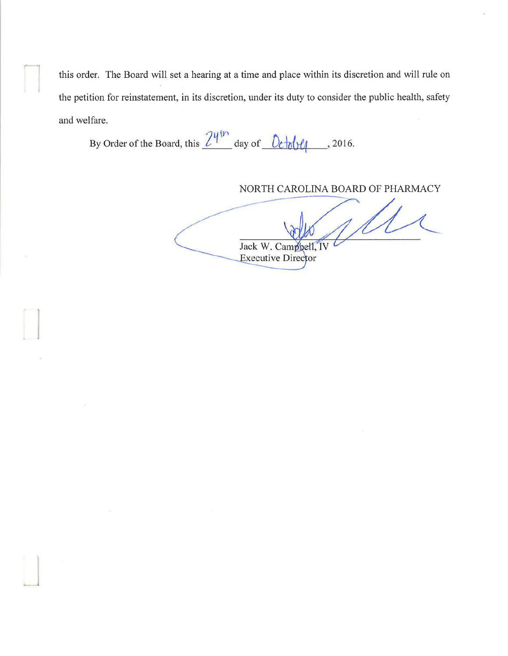this order. The Board will set a hearing at a time and place within its discretion and will rule on the petition for reinstatement, in its discretion, under its duty to consider the public health, safety and welfare.

By Order of the Board, this  $\frac{24^{th}}{100}$  day of  $\frac{0 \text{ch} \theta}{4}$ , 2016.

NORTH CAROLINA BOARD OF PHARMACY

Jack W. Campbell,<br>Executive Director